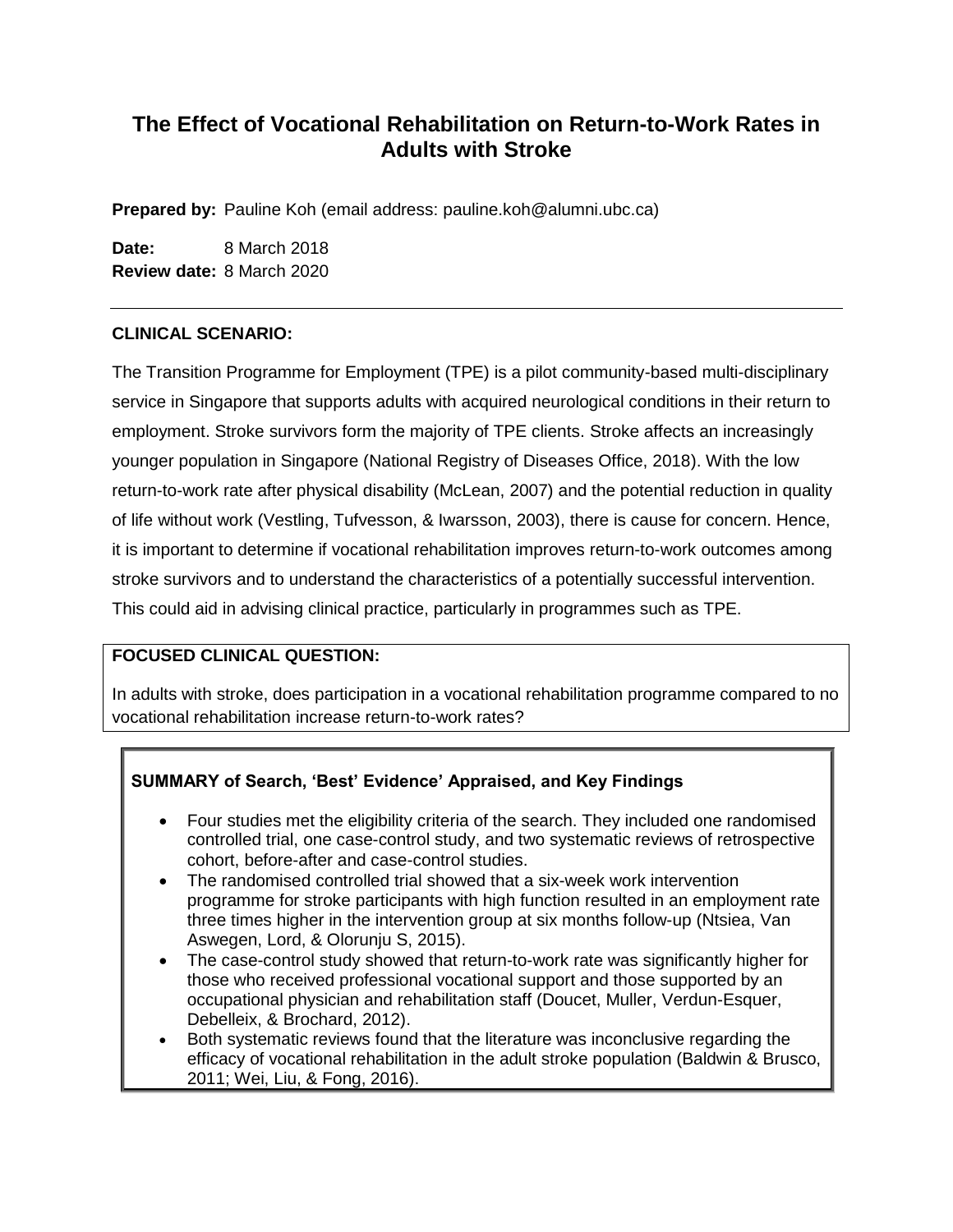# **The Effect of Vocational Rehabilitation on Return-to-Work Rates in Adults with Stroke**

**Prepared by:** Pauline Koh (email address: pauline.koh@alumni.ubc.ca)

**Date:** 8 March 2018 **Review date:** 8 March 2020

## **CLINICAL SCENARIO:**

The Transition Programme for Employment (TPE) is a pilot community-based multi-disciplinary service in Singapore that supports adults with acquired neurological conditions in their return to employment. Stroke survivors form the majority of TPE clients. Stroke affects an increasingly younger population in Singapore (National Registry of Diseases Office, 2018). With the low return-to-work rate after physical disability (McLean, 2007) and the potential reduction in quality of life without work (Vestling, Tufvesson, & Iwarsson, 2003), there is cause for concern. Hence, it is important to determine if vocational rehabilitation improves return-to-work outcomes among stroke survivors and to understand the characteristics of a potentially successful intervention. This could aid in advising clinical practice, particularly in programmes such as TPE.

## **FOCUSED CLINICAL QUESTION:**

In adults with stroke, does participation in a vocational rehabilitation programme compared to no vocational rehabilitation increase return-to-work rates?

## **SUMMARY of Search, 'Best' Evidence' Appraised, and Key Findings**

- Four studies met the eligibility criteria of the search. They included one randomised controlled trial, one case-control study, and two systematic reviews of retrospective cohort, before-after and case-control studies.
- The randomised controlled trial showed that a six-week work intervention programme for stroke participants with high function resulted in an employment rate three times higher in the intervention group at six months follow-up (Ntsiea, Van Aswegen, Lord, & Olorunju S, 2015).
- The case-control study showed that return-to-work rate was significantly higher for those who received professional vocational support and those supported by an occupational physician and rehabilitation staff (Doucet, Muller, Verdun-Esquer, Debelleix, & Brochard, 2012).
- Both systematic reviews found that the literature was inconclusive regarding the efficacy of vocational rehabilitation in the adult stroke population (Baldwin & Brusco, 2011; Wei, Liu, & Fong, 2016).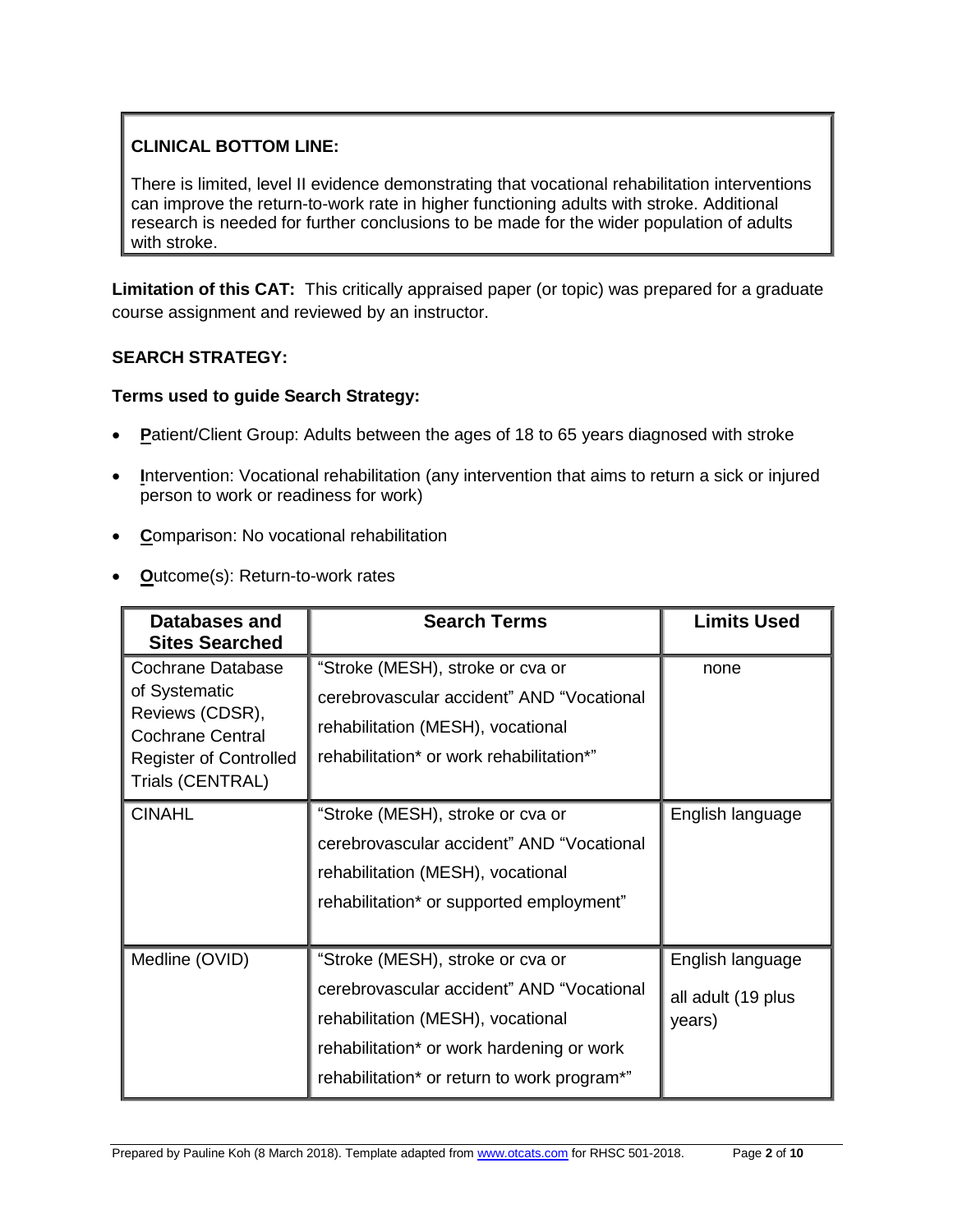## **CLINICAL BOTTOM LINE:**

There is limited, level II evidence demonstrating that vocational rehabilitation interventions can improve the return-to-work rate in higher functioning adults with stroke. Additional research is needed for further conclusions to be made for the wider population of adults with stroke.

**Limitation of this CAT:** This critically appraised paper (or topic) was prepared for a graduate course assignment and reviewed by an instructor.

## **SEARCH STRATEGY:**

#### **Terms used to guide Search Strategy:**

- **Patient/Client Group: Adults between the ages of 18 to 65 years diagnosed with stroke**
- **I**ntervention: Vocational rehabilitation (any intervention that aims to return a sick or injured person to work or readiness for work)
- **C**omparison: No vocational rehabilitation
- **O**utcome(s): Return-to-work rates

| Databases and<br><b>Sites Searched</b>                                                                            | <b>Search Terms</b>                                                                                                                                                                                            | <b>Limits Used</b>                               |
|-------------------------------------------------------------------------------------------------------------------|----------------------------------------------------------------------------------------------------------------------------------------------------------------------------------------------------------------|--------------------------------------------------|
| Cochrane Database<br>of Systematic<br>Reviews (CDSR),<br><b>Cochrane Central</b><br><b>Register of Controlled</b> | "Stroke (MESH), stroke or cva or<br>cerebrovascular accident" AND "Vocational<br>rehabilitation (MESH), vocational<br>rehabilitation* or work rehabilitation*"                                                 | none                                             |
| Trials (CENTRAL)                                                                                                  |                                                                                                                                                                                                                |                                                  |
| <b>CINAHL</b>                                                                                                     | "Stroke (MESH), stroke or cva or<br>cerebrovascular accident" AND "Vocational<br>rehabilitation (MESH), vocational<br>rehabilitation* or supported employment"                                                 | English language                                 |
| Medline (OVID)                                                                                                    | "Stroke (MESH), stroke or cva or<br>cerebrovascular accident" AND "Vocational<br>rehabilitation (MESH), vocational<br>rehabilitation* or work hardening or work<br>rehabilitation* or return to work program*" | English language<br>all adult (19 plus<br>years) |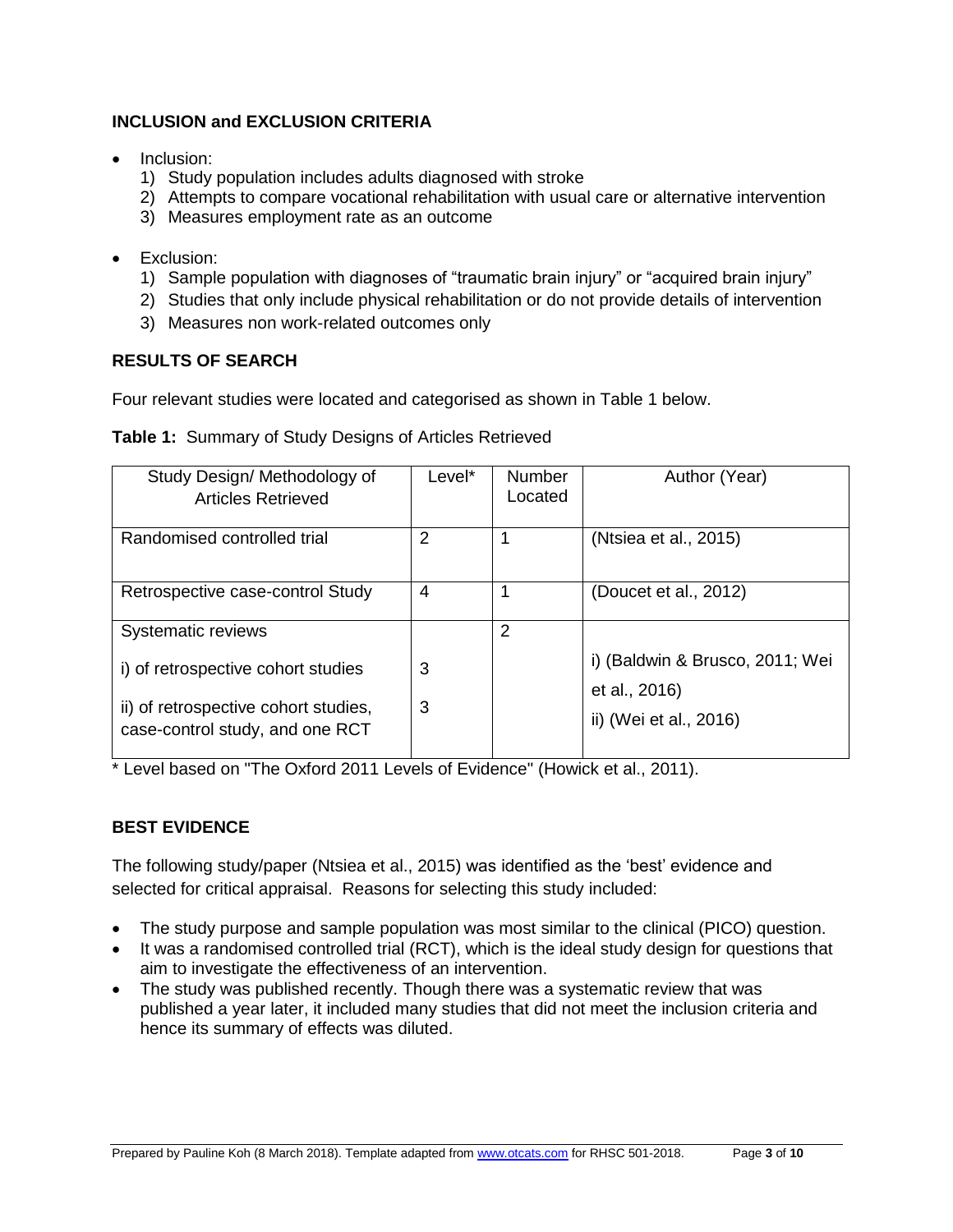## **INCLUSION and EXCLUSION CRITERIA**

- Inclusion:
	- 1) Study population includes adults diagnosed with stroke
	- 2) Attempts to compare vocational rehabilitation with usual care or alternative intervention
	- 3) Measures employment rate as an outcome
- Exclusion:
	- 1) Sample population with diagnoses of "traumatic brain injury" or "acquired brain injury"
	- 2) Studies that only include physical rehabilitation or do not provide details of intervention
	- 3) Measures non work-related outcomes only

## **RESULTS OF SEARCH**

Four relevant studies were located and categorised as shown in Table 1 below.

| Table 1: Summary of Study Designs of Articles Retrieved |
|---------------------------------------------------------|
|---------------------------------------------------------|

| Study Design/ Methodology of<br><b>Articles Retrieved</b>                  | Level*         | Number<br>Located | Author (Year)                                                              |
|----------------------------------------------------------------------------|----------------|-------------------|----------------------------------------------------------------------------|
| Randomised controlled trial                                                | 2              |                   | (Ntsiea et al., 2015)                                                      |
| Retrospective case-control Study                                           | $\overline{A}$ |                   | (Doucet et al., 2012)                                                      |
| Systematic reviews                                                         |                | 2                 |                                                                            |
| i) of retrospective cohort studies<br>ii) of retrospective cohort studies, | 3<br>3         |                   | i) (Baldwin & Brusco, 2011; Wei<br>et al., 2016)<br>ii) (Wei et al., 2016) |
| case-control study, and one RCT                                            |                |                   |                                                                            |

\* Level based on "The Oxford 2011 Levels of Evidence" (Howick et al., 2011).

## **BEST EVIDENCE**

The following study/paper (Ntsiea et al., 2015) was identified as the 'best' evidence and selected for critical appraisal. Reasons for selecting this study included:

- The study purpose and sample population was most similar to the clinical (PICO) question.
- It was a randomised controlled trial (RCT), which is the ideal study design for questions that aim to investigate the effectiveness of an intervention.
- The study was published recently. Though there was a systematic review that was published a year later, it included many studies that did not meet the inclusion criteria and hence its summary of effects was diluted.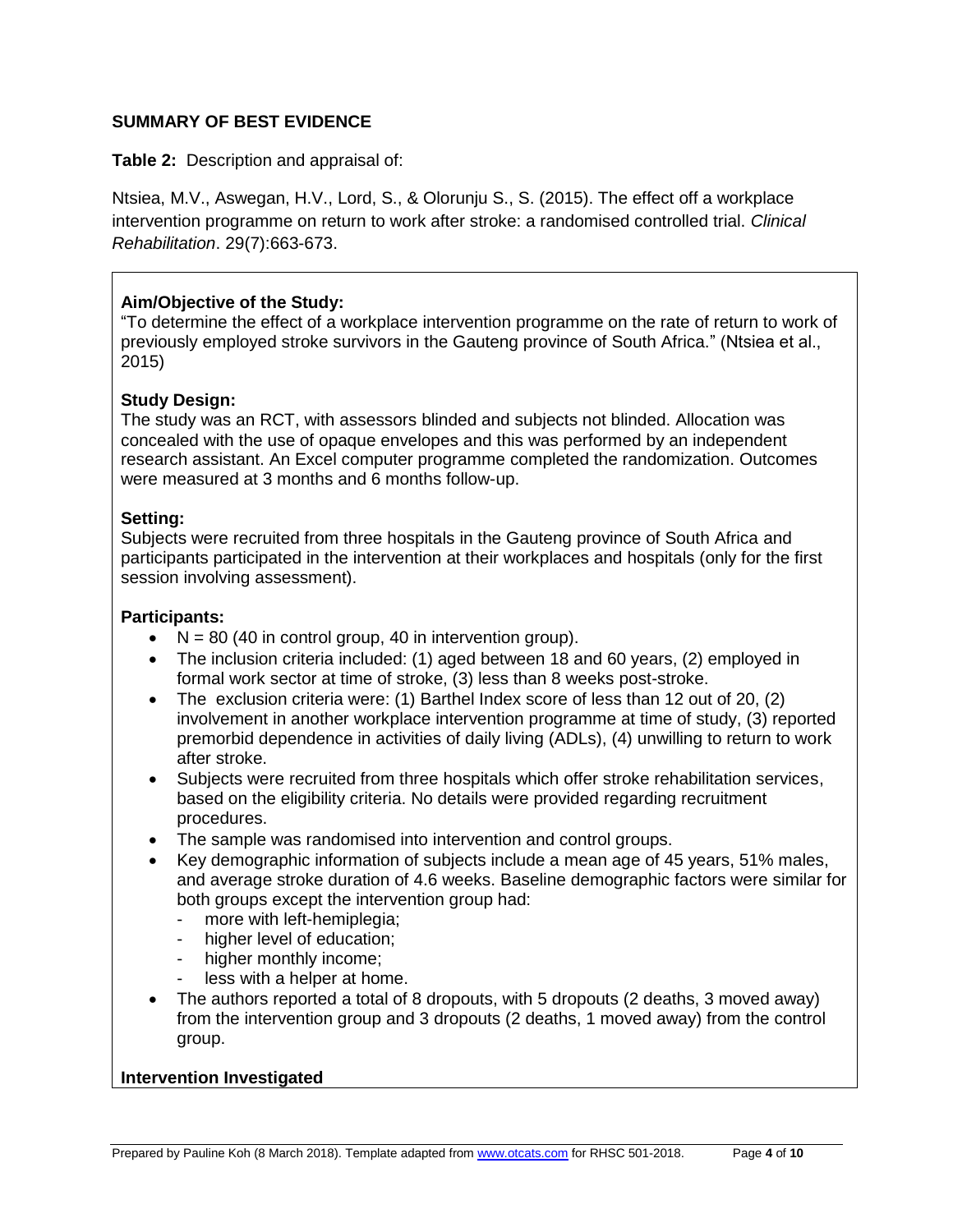#### **SUMMARY OF BEST EVIDENCE**

**Table 2:** Description and appraisal of:

Ntsiea, M.V., Aswegan, H.V., Lord, S., & Olorunju S., S. (2015). The effect off a workplace intervention programme on return to work after stroke: a randomised controlled trial. *Clinical Rehabilitation*. 29(7):663-673.

## **Aim/Objective of the Study:**

"To determine the effect of a workplace intervention programme on the rate of return to work of previously employed stroke survivors in the Gauteng province of South Africa." (Ntsiea et al., 2015)

## **Study Design:**

The study was an RCT, with assessors blinded and subjects not blinded. Allocation was concealed with the use of opaque envelopes and this was performed by an independent research assistant. An Excel computer programme completed the randomization. Outcomes were measured at 3 months and 6 months follow-up.

## **Setting:**

Subjects were recruited from three hospitals in the Gauteng province of South Africa and participants participated in the intervention at their workplaces and hospitals (only for the first session involving assessment).

#### **Participants:**

- $\bullet$  N = 80 (40 in control group, 40 in intervention group).
- The inclusion criteria included: (1) aged between 18 and 60 years, (2) employed in formal work sector at time of stroke, (3) less than 8 weeks post-stroke.
- The exclusion criteria were: (1) Barthel Index score of less than 12 out of 20, (2) involvement in another workplace intervention programme at time of study, (3) reported premorbid dependence in activities of daily living (ADLs), (4) unwilling to return to work after stroke.
- Subjects were recruited from three hospitals which offer stroke rehabilitation services, based on the eligibility criteria. No details were provided regarding recruitment procedures.
- The sample was randomised into intervention and control groups.
- Key demographic information of subjects include a mean age of 45 years, 51% males, and average stroke duration of 4.6 weeks. Baseline demographic factors were similar for both groups except the intervention group had:
	- more with left-hemiplegia;
	- higher level of education;
	- higher monthly income;
	- less with a helper at home.
- The authors reported a total of 8 dropouts, with 5 dropouts (2 deaths, 3 moved away) from the intervention group and 3 dropouts (2 deaths, 1 moved away) from the control group.

#### **Intervention Investigated**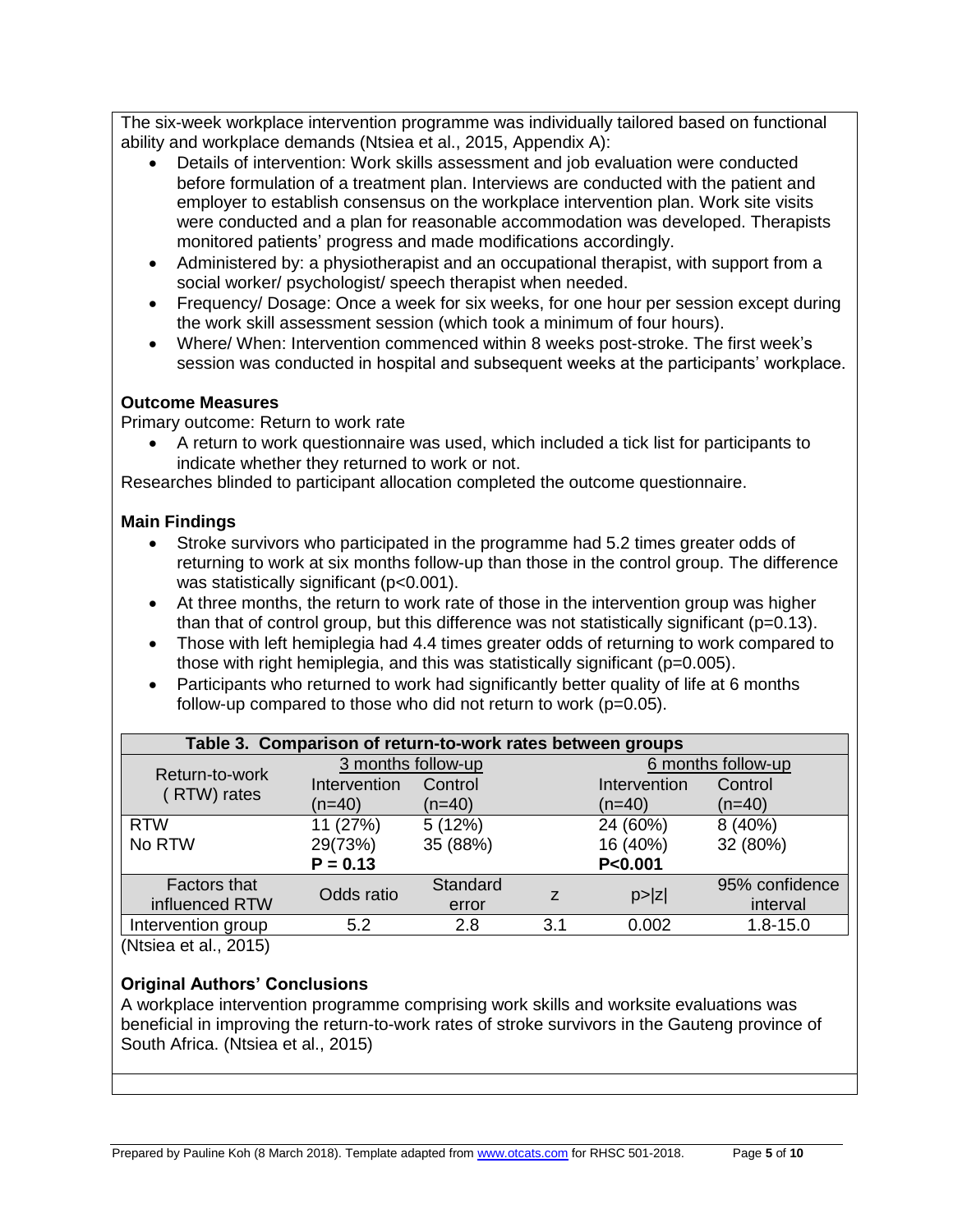The six-week workplace intervention programme was individually tailored based on functional ability and workplace demands (Ntsiea et al., 2015, Appendix A):

- Details of intervention: Work skills assessment and job evaluation were conducted before formulation of a treatment plan. Interviews are conducted with the patient and employer to establish consensus on the workplace intervention plan. Work site visits were conducted and a plan for reasonable accommodation was developed. Therapists monitored patients' progress and made modifications accordingly.
- Administered by: a physiotherapist and an occupational therapist, with support from a social worker/ psychologist/ speech therapist when needed.
- Frequency/ Dosage: Once a week for six weeks, for one hour per session except during the work skill assessment session (which took a minimum of four hours).
- Where/ When: Intervention commenced within 8 weeks post-stroke. The first week's session was conducted in hospital and subsequent weeks at the participants' workplace.

## **Outcome Measures**

Primary outcome: Return to work rate

 A return to work questionnaire was used, which included a tick list for participants to indicate whether they returned to work or not.

Researches blinded to participant allocation completed the outcome questionnaire.

## **Main Findings**

- Stroke survivors who participated in the programme had 5.2 times greater odds of returning to work at six months follow-up than those in the control group. The difference was statistically significant (p<0.001).
- At three months, the return to work rate of those in the intervention group was higher than that of control group, but this difference was not statistically significant  $(p=0.13)$ .
- Those with left hemiplegia had 4.4 times greater odds of returning to work compared to those with right hemiplegia, and this was statistically significant (p=0.005).
- Participants who returned to work had significantly better quality of life at 6 months follow-up compared to those who did not return to work (p=0.05).

| Table 3. Comparison of return-to-work rates between groups |                    |          |     |                    |                |  |
|------------------------------------------------------------|--------------------|----------|-----|--------------------|----------------|--|
| Return-to-work<br>(RTW) rates                              | 3 months follow-up |          |     | 6 months follow-up |                |  |
|                                                            | Intervention       | Control  |     | Intervention       | Control        |  |
|                                                            | $(n=40)$           | $(n=40)$ |     | $(n=40)$           | $(n=40)$       |  |
| <b>RTW</b>                                                 | 11 (27%)           | 5(12%)   |     | 24 (60%)           | 8 (40%)        |  |
| No RTW                                                     | 29(73%)            | 35 (88%) |     | 16 (40%)           | 32 (80%)       |  |
|                                                            | $P = 0.13$         |          |     | P < 0.001          |                |  |
| <b>Factors that</b>                                        | Odds ratio         | Standard |     |                    | 95% confidence |  |
| influenced RTW                                             |                    | error    | Z   | p >  z             | interval       |  |
| Intervention group                                         | 5.2                | 2.8      | 3.1 | 0.002              | $1.8 - 15.0$   |  |
| (1)                                                        |                    |          |     |                    |                |  |

(Ntsiea et al., 2015)

## **Original Authors' Conclusions**

A workplace intervention programme comprising work skills and worksite evaluations was beneficial in improving the return-to-work rates of stroke survivors in the Gauteng province of South Africa. (Ntsiea et al., 2015)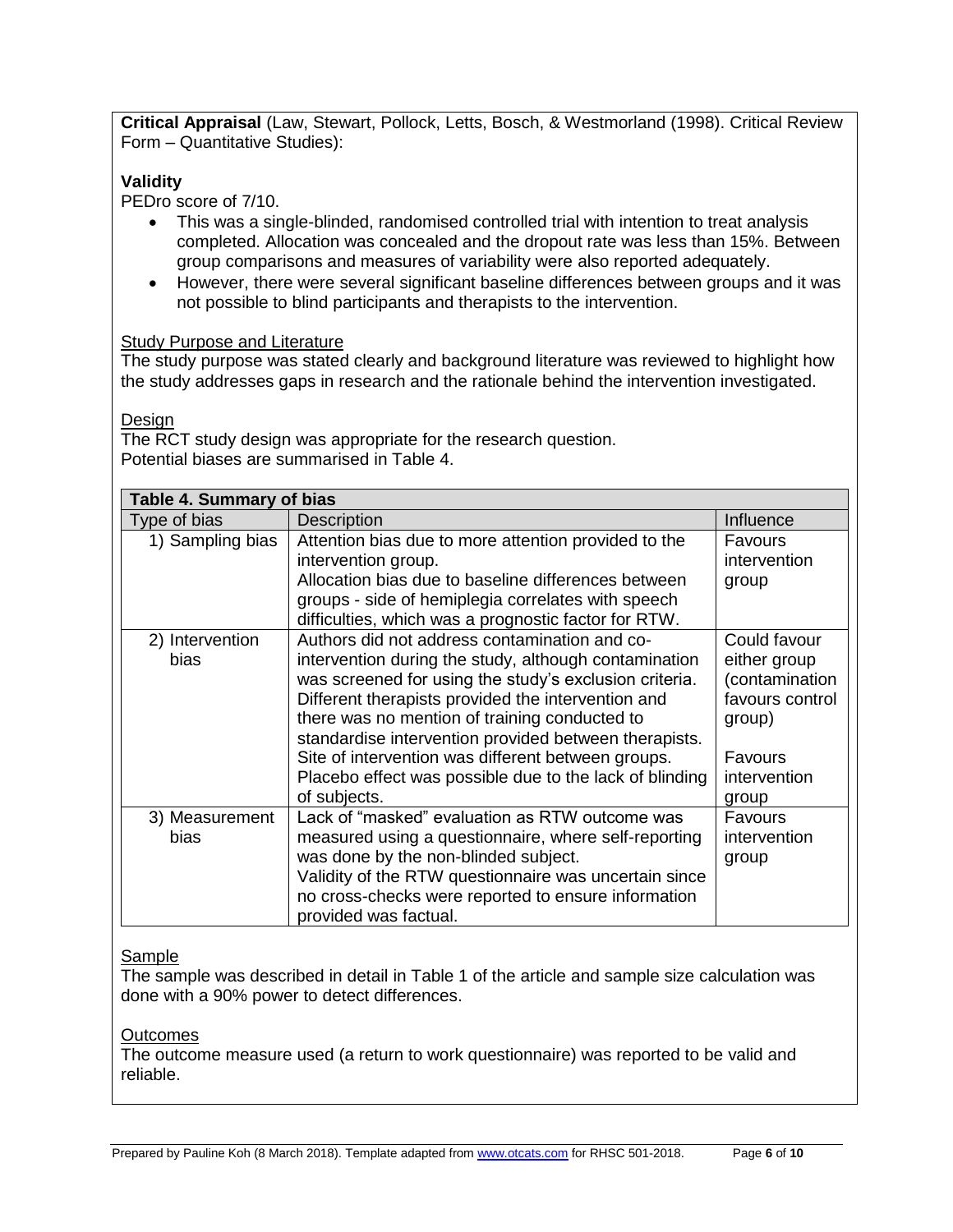**Critical Appraisal** (Law, Stewart, Pollock, Letts, Bosch, & Westmorland (1998). Critical Review Form – Quantitative Studies):

## **Validity**

PEDro score of 7/10.

- This was a single-blinded, randomised controlled trial with intention to treat analysis completed. Allocation was concealed and the dropout rate was less than 15%. Between group comparisons and measures of variability were also reported adequately.
- However, there were several significant baseline differences between groups and it was not possible to blind participants and therapists to the intervention.

#### Study Purpose and Literature

The study purpose was stated clearly and background literature was reviewed to highlight how the study addresses gaps in research and the rationale behind the intervention investigated.

Design

The RCT study design was appropriate for the research question. Potential biases are summarised in Table 4.

| Table 4. Summary of bias |                                                                                                                                                                                                                                                                                                                                                                                                                                                                   |                                                                                                                        |  |  |
|--------------------------|-------------------------------------------------------------------------------------------------------------------------------------------------------------------------------------------------------------------------------------------------------------------------------------------------------------------------------------------------------------------------------------------------------------------------------------------------------------------|------------------------------------------------------------------------------------------------------------------------|--|--|
| Type of bias             | <b>Description</b>                                                                                                                                                                                                                                                                                                                                                                                                                                                | Influence                                                                                                              |  |  |
| 1) Sampling bias         | Attention bias due to more attention provided to the<br>intervention group.<br>Allocation bias due to baseline differences between<br>groups - side of hemiplegia correlates with speech<br>difficulties, which was a prognostic factor for RTW.                                                                                                                                                                                                                  | Favours<br>intervention<br>group                                                                                       |  |  |
| 2) Intervention<br>bias  | Authors did not address contamination and co-<br>intervention during the study, although contamination<br>was screened for using the study's exclusion criteria.<br>Different therapists provided the intervention and<br>there was no mention of training conducted to<br>standardise intervention provided between therapists.<br>Site of intervention was different between groups.<br>Placebo effect was possible due to the lack of blinding<br>of subjects. | Could favour<br>either group<br>contamination)<br>favours control<br>group)<br><b>Favours</b><br>intervention<br>group |  |  |
| 3) Measurement<br>bias   | Lack of "masked" evaluation as RTW outcome was<br>measured using a questionnaire, where self-reporting<br>was done by the non-blinded subject.<br>Validity of the RTW questionnaire was uncertain since<br>no cross-checks were reported to ensure information<br>provided was factual.                                                                                                                                                                           | Favours<br>intervention<br>group                                                                                       |  |  |

#### Sample

The sample was described in detail in Table 1 of the article and sample size calculation was done with a 90% power to detect differences.

#### **Outcomes**

The outcome measure used (a return to work questionnaire) was reported to be valid and reliable.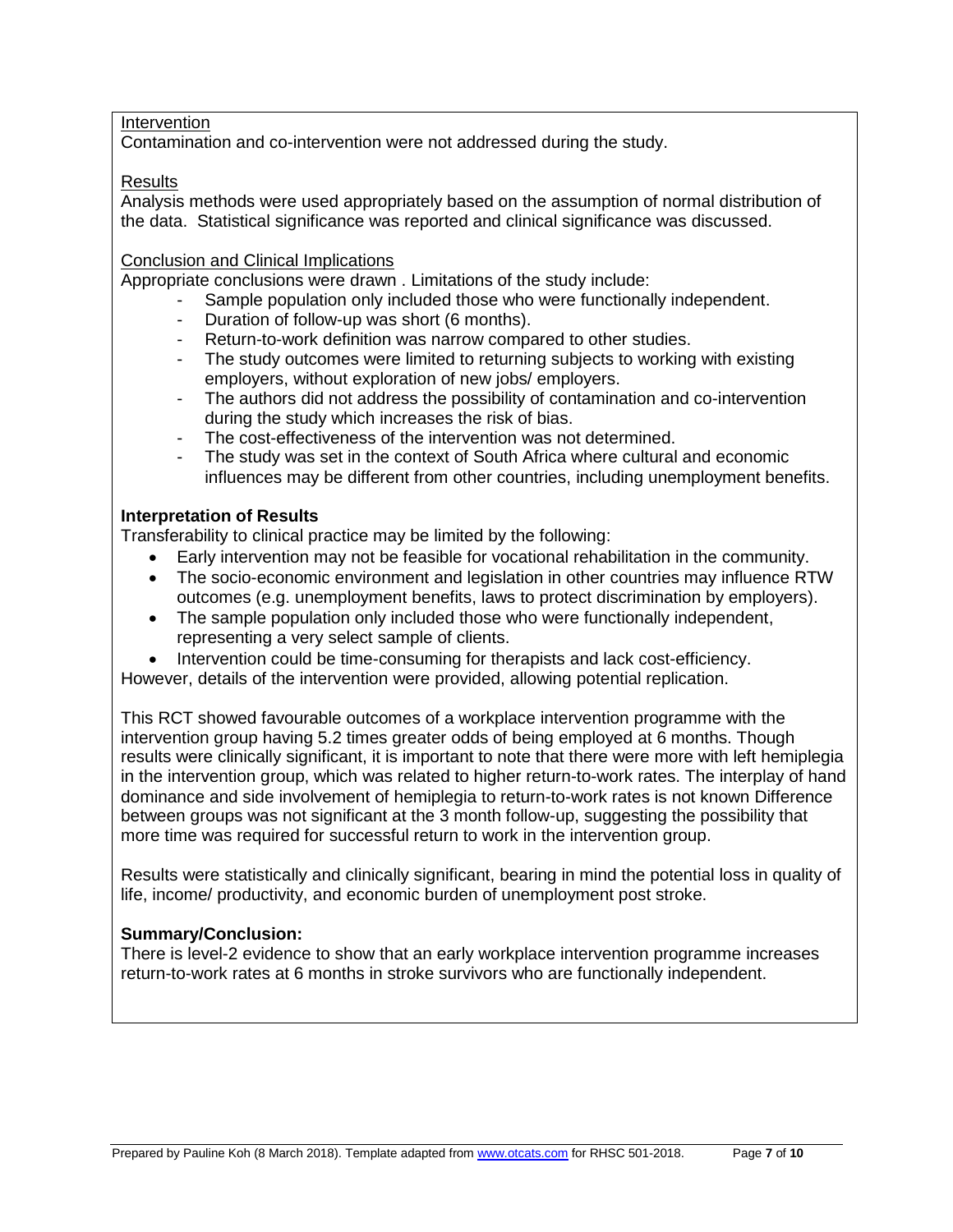#### Intervention

Contamination and co-intervention were not addressed during the study.

#### **Results**

Analysis methods were used appropriately based on the assumption of normal distribution of the data. Statistical significance was reported and clinical significance was discussed.

#### Conclusion and Clinical Implications

Appropriate conclusions were drawn . Limitations of the study include:

- Sample population only included those who were functionally independent.
- Duration of follow-up was short (6 months).
- Return-to-work definition was narrow compared to other studies.
- The study outcomes were limited to returning subjects to working with existing employers, without exploration of new jobs/ employers.
- The authors did not address the possibility of contamination and co-intervention during the study which increases the risk of bias.
- The cost-effectiveness of the intervention was not determined.
- The study was set in the context of South Africa where cultural and economic influences may be different from other countries, including unemployment benefits.

#### **Interpretation of Results**

Transferability to clinical practice may be limited by the following:

- Early intervention may not be feasible for vocational rehabilitation in the community.
- The socio-economic environment and legislation in other countries may influence RTW outcomes (e.g. unemployment benefits, laws to protect discrimination by employers).
- The sample population only included those who were functionally independent, representing a very select sample of clients.
- Intervention could be time-consuming for therapists and lack cost-efficiency.

However, details of the intervention were provided, allowing potential replication.

This RCT showed favourable outcomes of a workplace intervention programme with the intervention group having 5.2 times greater odds of being employed at 6 months. Though results were clinically significant, it is important to note that there were more with left hemiplegia in the intervention group, which was related to higher return-to-work rates. The interplay of hand dominance and side involvement of hemiplegia to return-to-work rates is not known Difference between groups was not significant at the 3 month follow-up, suggesting the possibility that more time was required for successful return to work in the intervention group.

Results were statistically and clinically significant, bearing in mind the potential loss in quality of life, income/ productivity, and economic burden of unemployment post stroke.

#### **Summary/Conclusion:**

There is level-2 evidence to show that an early workplace intervention programme increases return-to-work rates at 6 months in stroke survivors who are functionally independent.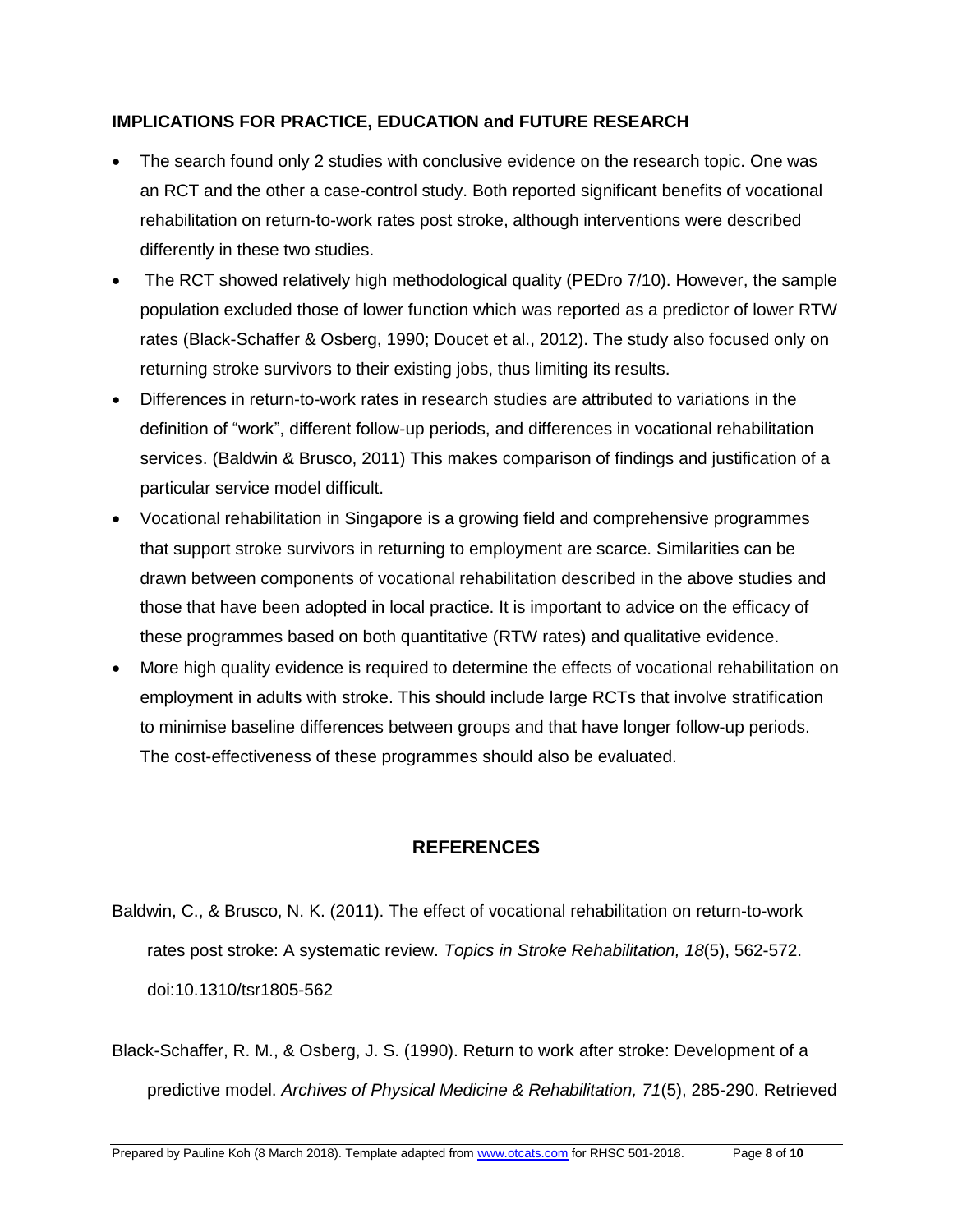## **IMPLICATIONS FOR PRACTICE, EDUCATION and FUTURE RESEARCH**

- The search found only 2 studies with conclusive evidence on the research topic. One was an RCT and the other a case-control study. Both reported significant benefits of vocational rehabilitation on return-to-work rates post stroke, although interventions were described differently in these two studies.
- The RCT showed relatively high methodological quality (PEDro 7/10). However, the sample population excluded those of lower function which was reported as a predictor of lower RTW rates (Black-Schaffer & Osberg, 1990; Doucet et al., 2012). The study also focused only on returning stroke survivors to their existing jobs, thus limiting its results.
- Differences in return-to-work rates in research studies are attributed to variations in the definition of "work", different follow-up periods, and differences in vocational rehabilitation services. (Baldwin & Brusco, 2011) This makes comparison of findings and justification of a particular service model difficult.
- Vocational rehabilitation in Singapore is a growing field and comprehensive programmes that support stroke survivors in returning to employment are scarce. Similarities can be drawn between components of vocational rehabilitation described in the above studies and those that have been adopted in local practice. It is important to advice on the efficacy of these programmes based on both quantitative (RTW rates) and qualitative evidence.
- More high quality evidence is required to determine the effects of vocational rehabilitation on employment in adults with stroke. This should include large RCTs that involve stratification to minimise baseline differences between groups and that have longer follow-up periods. The cost-effectiveness of these programmes should also be evaluated.

## **REFERENCES**

- Baldwin, C., & Brusco, N. K. (2011). The effect of vocational rehabilitation on return-to-work rates post stroke: A systematic review. *Topics in Stroke Rehabilitation, 18*(5), 562-572. doi:10.1310/tsr1805-562
- Black-Schaffer, R. M., & Osberg, J. S. (1990). Return to work after stroke: Development of a predictive model. *Archives of Physical Medicine & Rehabilitation, 71*(5), 285-290. Retrieved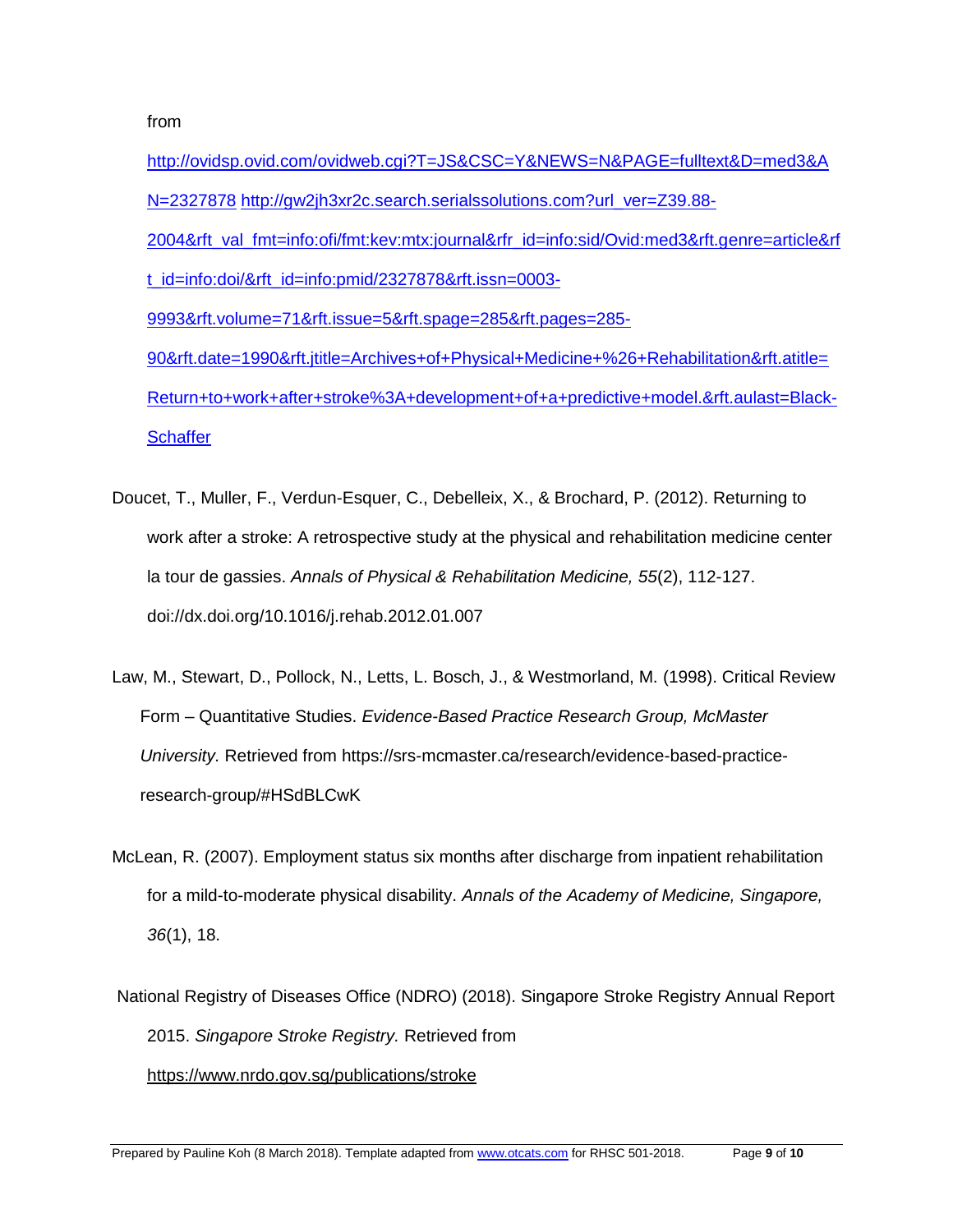from

- [http://ovidsp.ovid.com/ovidweb.cgi?T=JS&CSC=Y&NEWS=N&PAGE=fulltext&D=med3&A](http://ovidsp.ovid.com/ovidweb.cgi?T=JS&CSC=Y&NEWS=N&PAGE=fulltext&D=med3&AN=2327878) [N=2327878](http://ovidsp.ovid.com/ovidweb.cgi?T=JS&CSC=Y&NEWS=N&PAGE=fulltext&D=med3&AN=2327878) [http://gw2jh3xr2c.search.serialssolutions.com?url\\_ver=Z39.88-](http://gw2jh3xr2c.search.serialssolutions.com/?url_ver=Z39.88-2004&rft_val_fmt=info:ofi/fmt:kev:mtx:journal&rfr_id=info:sid/Ovid:med3&rft.genre=article&rft_id=info:doi/&rft_id=info:pmid/2327878&rft.issn=0003-9993&rft.volume=71&rft.issue=5&rft.spage=285&rft.pages=285-90&rft.date=1990&rft.jtitle=Archives+of+Physical+Medicine+%26+Rehabilitation&rft.atitle=Return+to+work+after+stroke%3A+development+of+a+predictive+model.&rft.aulast=Black-Schaffer) [2004&rft\\_val\\_fmt=info:ofi/fmt:kev:mtx:journal&rfr\\_id=info:sid/Ovid:med3&rft.genre=article&rf](http://gw2jh3xr2c.search.serialssolutions.com/?url_ver=Z39.88-2004&rft_val_fmt=info:ofi/fmt:kev:mtx:journal&rfr_id=info:sid/Ovid:med3&rft.genre=article&rft_id=info:doi/&rft_id=info:pmid/2327878&rft.issn=0003-9993&rft.volume=71&rft.issue=5&rft.spage=285&rft.pages=285-90&rft.date=1990&rft.jtitle=Archives+of+Physical+Medicine+%26+Rehabilitation&rft.atitle=Return+to+work+after+stroke%3A+development+of+a+predictive+model.&rft.aulast=Black-Schaffer) [t\\_id=info:doi/&rft\\_id=info:pmid/2327878&rft.issn=0003-](http://gw2jh3xr2c.search.serialssolutions.com/?url_ver=Z39.88-2004&rft_val_fmt=info:ofi/fmt:kev:mtx:journal&rfr_id=info:sid/Ovid:med3&rft.genre=article&rft_id=info:doi/&rft_id=info:pmid/2327878&rft.issn=0003-9993&rft.volume=71&rft.issue=5&rft.spage=285&rft.pages=285-90&rft.date=1990&rft.jtitle=Archives+of+Physical+Medicine+%26+Rehabilitation&rft.atitle=Return+to+work+after+stroke%3A+development+of+a+predictive+model.&rft.aulast=Black-Schaffer) [9993&rft.volume=71&rft.issue=5&rft.spage=285&rft.pages=285-](http://gw2jh3xr2c.search.serialssolutions.com/?url_ver=Z39.88-2004&rft_val_fmt=info:ofi/fmt:kev:mtx:journal&rfr_id=info:sid/Ovid:med3&rft.genre=article&rft_id=info:doi/&rft_id=info:pmid/2327878&rft.issn=0003-9993&rft.volume=71&rft.issue=5&rft.spage=285&rft.pages=285-90&rft.date=1990&rft.jtitle=Archives+of+Physical+Medicine+%26+Rehabilitation&rft.atitle=Return+to+work+after+stroke%3A+development+of+a+predictive+model.&rft.aulast=Black-Schaffer) [90&rft.date=1990&rft.jtitle=Archives+of+Physical+Medicine+%26+Rehabilitation&rft.atitle=](http://gw2jh3xr2c.search.serialssolutions.com/?url_ver=Z39.88-2004&rft_val_fmt=info:ofi/fmt:kev:mtx:journal&rfr_id=info:sid/Ovid:med3&rft.genre=article&rft_id=info:doi/&rft_id=info:pmid/2327878&rft.issn=0003-9993&rft.volume=71&rft.issue=5&rft.spage=285&rft.pages=285-90&rft.date=1990&rft.jtitle=Archives+of+Physical+Medicine+%26+Rehabilitation&rft.atitle=Return+to+work+after+stroke%3A+development+of+a+predictive+model.&rft.aulast=Black-Schaffer) [Return+to+work+after+stroke%3A+development+of+a+predictive+model.&rft.aulast=Black-](http://gw2jh3xr2c.search.serialssolutions.com/?url_ver=Z39.88-2004&rft_val_fmt=info:ofi/fmt:kev:mtx:journal&rfr_id=info:sid/Ovid:med3&rft.genre=article&rft_id=info:doi/&rft_id=info:pmid/2327878&rft.issn=0003-9993&rft.volume=71&rft.issue=5&rft.spage=285&rft.pages=285-90&rft.date=1990&rft.jtitle=Archives+of+Physical+Medicine+%26+Rehabilitation&rft.atitle=Return+to+work+after+stroke%3A+development+of+a+predictive+model.&rft.aulast=Black-Schaffer)**[Schaffer](http://gw2jh3xr2c.search.serialssolutions.com/?url_ver=Z39.88-2004&rft_val_fmt=info:ofi/fmt:kev:mtx:journal&rfr_id=info:sid/Ovid:med3&rft.genre=article&rft_id=info:doi/&rft_id=info:pmid/2327878&rft.issn=0003-9993&rft.volume=71&rft.issue=5&rft.spage=285&rft.pages=285-90&rft.date=1990&rft.jtitle=Archives+of+Physical+Medicine+%26+Rehabilitation&rft.atitle=Return+to+work+after+stroke%3A+development+of+a+predictive+model.&rft.aulast=Black-Schaffer)**
- Doucet, T., Muller, F., Verdun-Esquer, C., Debelleix, X., & Brochard, P. (2012). Returning to work after a stroke: A retrospective study at the physical and rehabilitation medicine center la tour de gassies. *Annals of Physical & Rehabilitation Medicine, 55*(2), 112-127. doi://dx.doi.org/10.1016/j.rehab.2012.01.007
- Law, M., Stewart, D., Pollock, N., Letts, L. Bosch, J., & Westmorland, M. (1998). Critical Review Form – Quantitative Studies. *Evidence-Based Practice Research Group, McMaster University.* Retrieved from https://srs-mcmaster.ca/research/evidence-based-practiceresearch-group/#HSdBLCwK
- McLean, R. (2007). Employment status six months after discharge from inpatient rehabilitation for a mild-to-moderate physical disability. *Annals of the Academy of Medicine, Singapore, 36*(1), 18.
- National Registry of Diseases Office (NDRO) (2018). Singapore Stroke Registry Annual Report 2015. *Singapore Stroke Registry.* Retrieved from

<https://www.nrdo.gov.sg/publications/stroke>